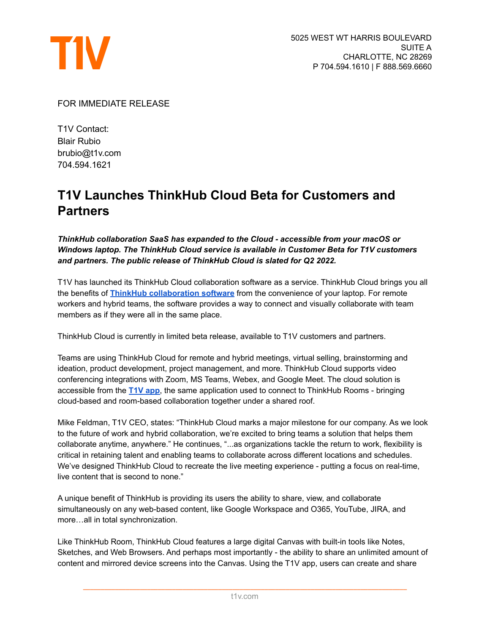

FOR IMMEDIATE RELEASE

T1V Contact: Blair Rubio brubio@t1v.com 704.594.1621

## **T1V Launches ThinkHub Cloud Beta for Customers and Partners**

*ThinkHub collaboration SaaS has expanded to the Cloud - accessible from your macOS or Windows laptop. The ThinkHub Cloud service is available in Customer Beta for T1V customers and partners. The public release of ThinkHub Cloud is slated for Q2 2022.*

T1V has launched its ThinkHub Cloud collaboration software as a service. ThinkHub Cloud brings you all the benefits of **ThinkHub [collaboration](https://www.t1v.com/thinkhub) software** from the convenience of your laptop. For remote workers and hybrid teams, the software provides a way to connect and visually collaborate with team members as if they were all in the same place.

ThinkHub Cloud is currently in limited beta release, available to T1V customers and partners.

Teams are using ThinkHub Cloud for remote and hybrid meetings, virtual selling, brainstorming and ideation, product development, project management, and more. ThinkHub Cloud supports video conferencing integrations with Zoom, MS Teams, Webex, and Google Meet. The cloud solution is accessible from the **[T1V](https://www.t1v.com/t1v-app) app**, the same application used to connect to ThinkHub Rooms - bringing cloud-based and room-based collaboration together under a shared roof.

Mike Feldman, T1V CEO, states: "ThinkHub Cloud marks a major milestone for our company. As we look to the future of work and hybrid collaboration, we're excited to bring teams a solution that helps them collaborate anytime, anywhere." He continues, "...as organizations tackle the return to work, flexibility is critical in retaining talent and enabling teams to collaborate across different locations and schedules. We've designed ThinkHub Cloud to recreate the live meeting experience - putting a focus on real-time, live content that is second to none."

A unique benefit of ThinkHub is providing its users the ability to share, view, and collaborate simultaneously on any web-based content, like Google Workspace and O365, YouTube, JIRA, and more…all in total synchronization.

Like ThinkHub Room, ThinkHub Cloud features a large digital Canvas with built-in tools like Notes, Sketches, and Web Browsers. And perhaps most importantly - the ability to share an unlimited amount of content and mirrored device screens into the Canvas. Using the T1V app, users can create and share